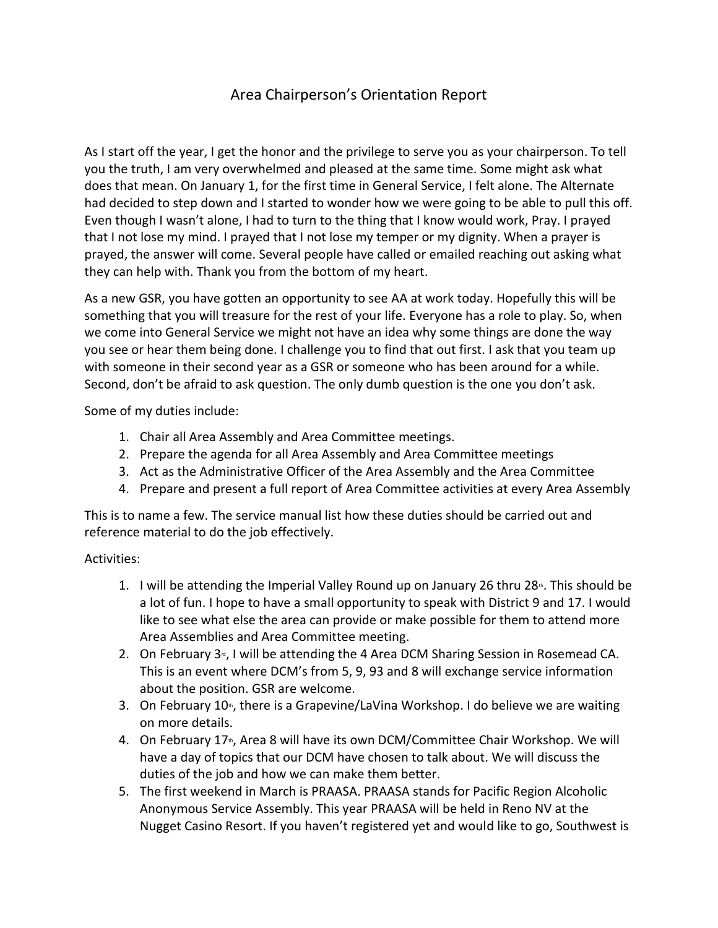## Area Chairperson's Orientation Report

As I start off the year, I get the honor and the privilege to serve you as your chairperson. To tell you the truth, I am very overwhelmed and pleased at the same time. Some might ask what does that mean. On January 1, for the first time in General Service, I felt alone. The Alternate had decided to step down and I started to wonder how we were going to be able to pull this off. Even though I wasn't alone, I had to turn to the thing that I know would work, Pray. I prayed that I not lose my mind. I prayed that I not lose my temper or my dignity. When a prayer is prayed, the answer will come. Several people have called or emailed reaching out asking what they can help with. Thank you from the bottom of my heart.

As a new GSR, you have gotten an opportunity to see AA at work today. Hopefully this will be something that you will treasure for the rest of your life. Everyone has a role to play. So, when we come into General Service we might not have an idea why some things are done the way you see or hear them being done. I challenge you to find that out first. I ask that you team up with someone in their second year as a GSR or someone who has been around for a while. Second, don't be afraid to ask question. The only dumb question is the one you don't ask.

Some of my duties include:

- 1. Chair all Area Assembly and Area Committee meetings.
- 2. Prepare the agenda for all Area Assembly and Area Committee meetings
- 3. Act as the Administrative Officer of the Area Assembly and the Area Committee
- 4. Prepare and present a full report of Area Committee activities at every Area Assembly

This is to name a few. The service manual list how these duties should be carried out and reference material to do the job effectively.

## Activities:

- 1. I will be attending the Imperial Valley Round up on January 26 thru  $28<sup>*</sup>$ . This should be a lot of fun. I hope to have a small opportunity to speak with District 9 and 17. I would like to see what else the area can provide or make possible for them to attend more Area Assemblies and Area Committee meeting.
- 2. On February  $3<sub>°</sub>$ , I will be attending the 4 Area DCM Sharing Session in Rosemead CA. This is an event where DCM's from 5, 9, 93 and 8 will exchange service information about the position. GSR are welcome.
- 3. On February 10<sup>th</sup>, there is a Grapevine/LaVina Workshop. I do believe we are waiting on more details.
- 4. On February  $17<sub>th</sub>$ , Area 8 will have its own DCM/Committee Chair Workshop. We will have a day of topics that our DCM have chosen to talk about. We will discuss the duties of the job and how we can make them better.
- 5. The first weekend in March is PRAASA. PRAASA stands for Pacific Region Alcoholic Anonymous Service Assembly. This year PRAASA will be held in Reno NV at the Nugget Casino Resort. If you haven't registered yet and would like to go, Southwest is